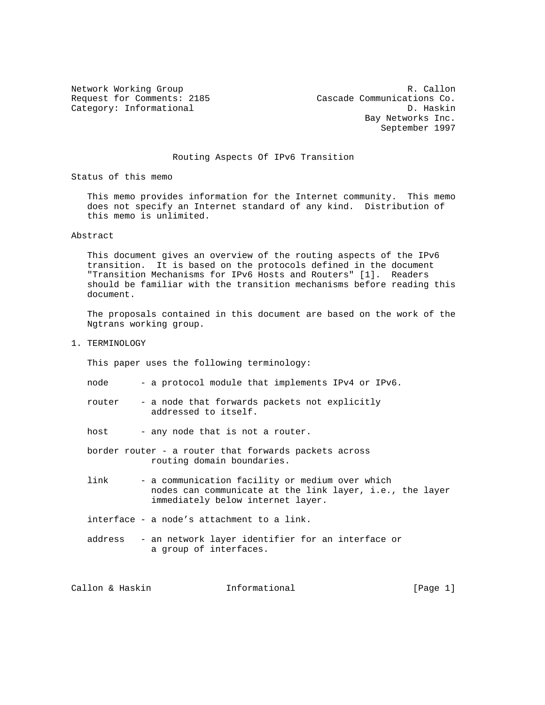Network Working Group and the contract of the R. Callon Request for Comments: 2185 Cascade Communications Co. Category: Informational D. Haskin Bay Networks Inc. September 1997

## Routing Aspects Of IPv6 Transition

Status of this memo

 This memo provides information for the Internet community. This memo does not specify an Internet standard of any kind. Distribution of this memo is unlimited.

Abstract

 This document gives an overview of the routing aspects of the IPv6 transition. It is based on the protocols defined in the document "Transition Mechanisms for IPv6 Hosts and Routers" [1]. Readers should be familiar with the transition mechanisms before reading this document.

 The proposals contained in this document are based on the work of the Ngtrans working group.

1. TERMINOLOGY

This paper uses the following terminology:

- node a protocol module that implements IPv4 or IPv6.
- router a node that forwards packets not explicitly addressed to itself.

host - any node that is not a router.

- border router a router that forwards packets across routing domain boundaries.
- link a communication facility or medium over which nodes can communicate at the link layer, i.e., the layer immediately below internet layer.
- interface a node's attachment to a link.
- address an network layer identifier for an interface or a group of interfaces.

Callon & Haskin **Informational** [Page 1]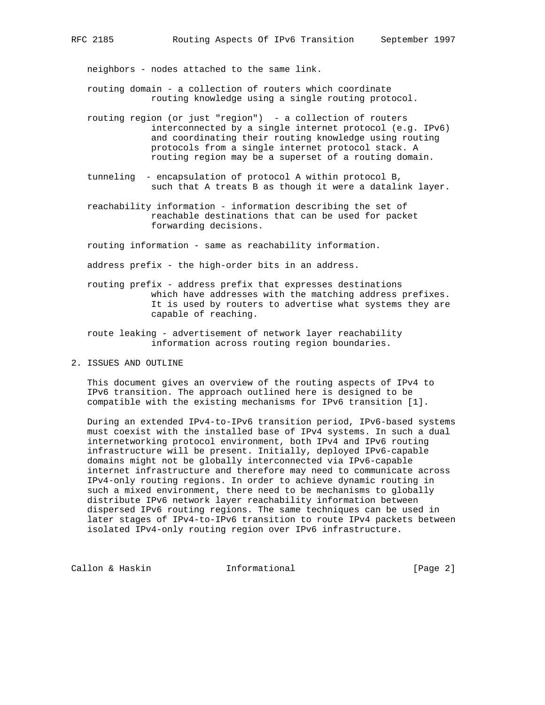neighbors - nodes attached to the same link.

- routing domain a collection of routers which coordinate routing knowledge using a single routing protocol.
- routing region (or just "region") a collection of routers interconnected by a single internet protocol (e.g. IPv6) and coordinating their routing knowledge using routing protocols from a single internet protocol stack. A routing region may be a superset of a routing domain.
- tunneling encapsulation of protocol A within protocol B, such that A treats B as though it were a datalink layer.
- reachability information information describing the set of reachable destinations that can be used for packet forwarding decisions.

routing information - same as reachability information.

address prefix - the high-order bits in an address.

- routing prefix address prefix that expresses destinations which have addresses with the matching address prefixes. It is used by routers to advertise what systems they are capable of reaching.
- route leaking advertisement of network layer reachability information across routing region boundaries.
- 2. ISSUES AND OUTLINE

 This document gives an overview of the routing aspects of IPv4 to IPv6 transition. The approach outlined here is designed to be compatible with the existing mechanisms for IPv6 transition [1].

 During an extended IPv4-to-IPv6 transition period, IPv6-based systems must coexist with the installed base of IPv4 systems. In such a dual internetworking protocol environment, both IPv4 and IPv6 routing infrastructure will be present. Initially, deployed IPv6-capable domains might not be globally interconnected via IPv6-capable internet infrastructure and therefore may need to communicate across IPv4-only routing regions. In order to achieve dynamic routing in such a mixed environment, there need to be mechanisms to globally distribute IPv6 network layer reachability information between dispersed IPv6 routing regions. The same techniques can be used in later stages of IPv4-to-IPv6 transition to route IPv4 packets between isolated IPv4-only routing region over IPv6 infrastructure.

Callon & Haskin **Informational** [Page 2]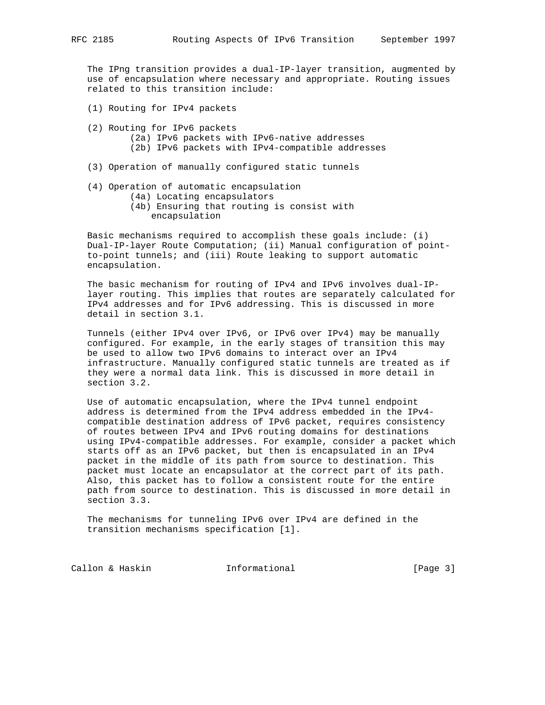The IPng transition provides a dual-IP-layer transition, augmented by use of encapsulation where necessary and appropriate. Routing issues related to this transition include:

- (1) Routing for IPv4 packets
- (2) Routing for IPv6 packets (2a) IPv6 packets with IPv6-native addresses (2b) IPv6 packets with IPv4-compatible addresses
- (3) Operation of manually configured static tunnels
- (4) Operation of automatic encapsulation (4a) Locating encapsulators
	- (4b) Ensuring that routing is consist with encapsulation

 Basic mechanisms required to accomplish these goals include: (i) Dual-IP-layer Route Computation; (ii) Manual configuration of point to-point tunnels; and (iii) Route leaking to support automatic encapsulation.

 The basic mechanism for routing of IPv4 and IPv6 involves dual-IP layer routing. This implies that routes are separately calculated for IPv4 addresses and for IPv6 addressing. This is discussed in more detail in section 3.1.

 Tunnels (either IPv4 over IPv6, or IPv6 over IPv4) may be manually configured. For example, in the early stages of transition this may be used to allow two IPv6 domains to interact over an IPv4 infrastructure. Manually configured static tunnels are treated as if they were a normal data link. This is discussed in more detail in section 3.2.

 Use of automatic encapsulation, where the IPv4 tunnel endpoint address is determined from the IPv4 address embedded in the IPv4 compatible destination address of IPv6 packet, requires consistency of routes between IPv4 and IPv6 routing domains for destinations using IPv4-compatible addresses. For example, consider a packet which starts off as an IPv6 packet, but then is encapsulated in an IPv4 packet in the middle of its path from source to destination. This packet must locate an encapsulator at the correct part of its path. Also, this packet has to follow a consistent route for the entire path from source to destination. This is discussed in more detail in section 3.3.

 The mechanisms for tunneling IPv6 over IPv4 are defined in the transition mechanisms specification [1].

Callon & Haskin **Informational** [Page 3]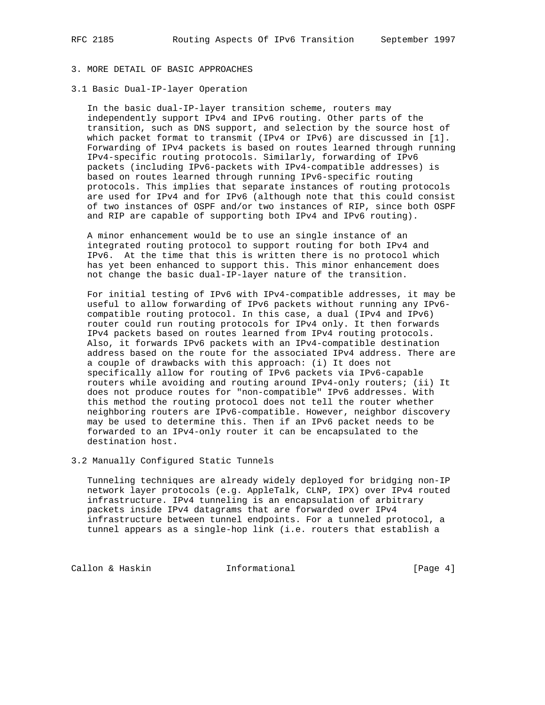3.1 Basic Dual-IP-layer Operation

 In the basic dual-IP-layer transition scheme, routers may independently support IPv4 and IPv6 routing. Other parts of the transition, such as DNS support, and selection by the source host of which packet format to transmit (IPv4 or IPv6) are discussed in [1]. Forwarding of IPv4 packets is based on routes learned through running IPv4-specific routing protocols. Similarly, forwarding of IPv6 packets (including IPv6-packets with IPv4-compatible addresses) is based on routes learned through running IPv6-specific routing protocols. This implies that separate instances of routing protocols are used for IPv4 and for IPv6 (although note that this could consist of two instances of OSPF and/or two instances of RIP, since both OSPF and RIP are capable of supporting both IPv4 and IPv6 routing).

 A minor enhancement would be to use an single instance of an integrated routing protocol to support routing for both IPv4 and IPv6. At the time that this is written there is no protocol which has yet been enhanced to support this. This minor enhancement does not change the basic dual-IP-layer nature of the transition.

 For initial testing of IPv6 with IPv4-compatible addresses, it may be useful to allow forwarding of IPv6 packets without running any IPv6 compatible routing protocol. In this case, a dual (IPv4 and IPv6) router could run routing protocols for IPv4 only. It then forwards IPv4 packets based on routes learned from IPv4 routing protocols. Also, it forwards IPv6 packets with an IPv4-compatible destination address based on the route for the associated IPv4 address. There are a couple of drawbacks with this approach: (i) It does not specifically allow for routing of IPv6 packets via IPv6-capable routers while avoiding and routing around IPv4-only routers; (ii) It does not produce routes for "non-compatible" IPv6 addresses. With this method the routing protocol does not tell the router whether neighboring routers are IPv6-compatible. However, neighbor discovery may be used to determine this. Then if an IPv6 packet needs to be forwarded to an IPv4-only router it can be encapsulated to the destination host.

3.2 Manually Configured Static Tunnels

 Tunneling techniques are already widely deployed for bridging non-IP network layer protocols (e.g. AppleTalk, CLNP, IPX) over IPv4 routed infrastructure. IPv4 tunneling is an encapsulation of arbitrary packets inside IPv4 datagrams that are forwarded over IPv4 infrastructure between tunnel endpoints. For a tunneled protocol, a tunnel appears as a single-hop link (i.e. routers that establish a

Callon & Haskin **Informational** [Page 4]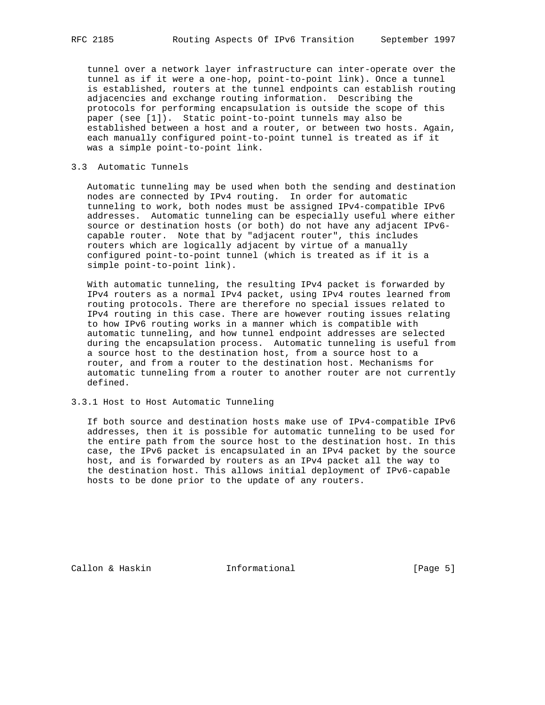tunnel over a network layer infrastructure can inter-operate over the tunnel as if it were a one-hop, point-to-point link). Once a tunnel is established, routers at the tunnel endpoints can establish routing adjacencies and exchange routing information. Describing the protocols for performing encapsulation is outside the scope of this paper (see [1]). Static point-to-point tunnels may also be established between a host and a router, or between two hosts. Again, each manually configured point-to-point tunnel is treated as if it was a simple point-to-point link.

## 3.3 Automatic Tunnels

 Automatic tunneling may be used when both the sending and destination nodes are connected by IPv4 routing. In order for automatic tunneling to work, both nodes must be assigned IPv4-compatible IPv6 addresses. Automatic tunneling can be especially useful where either source or destination hosts (or both) do not have any adjacent IPv6 capable router. Note that by "adjacent router", this includes routers which are logically adjacent by virtue of a manually configured point-to-point tunnel (which is treated as if it is a simple point-to-point link).

 With automatic tunneling, the resulting IPv4 packet is forwarded by IPv4 routers as a normal IPv4 packet, using IPv4 routes learned from routing protocols. There are therefore no special issues related to IPv4 routing in this case. There are however routing issues relating to how IPv6 routing works in a manner which is compatible with automatic tunneling, and how tunnel endpoint addresses are selected during the encapsulation process. Automatic tunneling is useful from a source host to the destination host, from a source host to a router, and from a router to the destination host. Mechanisms for automatic tunneling from a router to another router are not currently defined.

## 3.3.1 Host to Host Automatic Tunneling

 If both source and destination hosts make use of IPv4-compatible IPv6 addresses, then it is possible for automatic tunneling to be used for the entire path from the source host to the destination host. In this case, the IPv6 packet is encapsulated in an IPv4 packet by the source host, and is forwarded by routers as an IPv4 packet all the way to the destination host. This allows initial deployment of IPv6-capable hosts to be done prior to the update of any routers.

Callon & Haskin **Informational** [Page 5]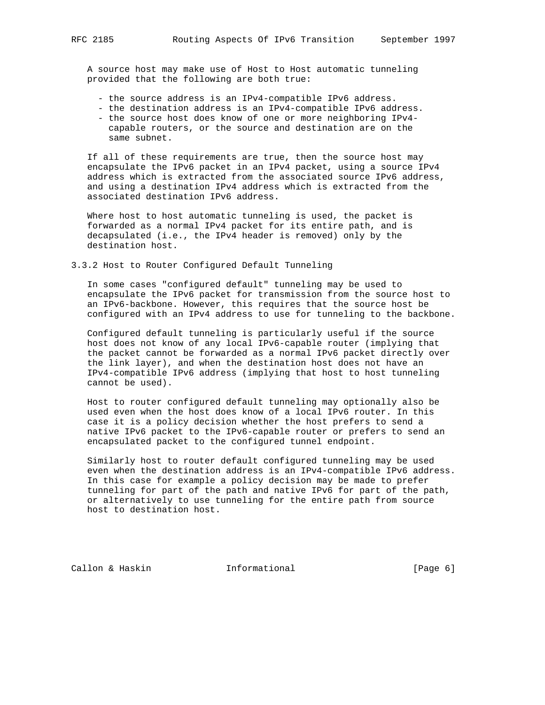A source host may make use of Host to Host automatic tunneling provided that the following are both true:

- the source address is an IPv4-compatible IPv6 address.
- the destination address is an IPv4-compatible IPv6 address.
- the source host does know of one or more neighboring IPv4 capable routers, or the source and destination are on the same subnet.

 If all of these requirements are true, then the source host may encapsulate the IPv6 packet in an IPv4 packet, using a source IPv4 address which is extracted from the associated source IPv6 address, and using a destination IPv4 address which is extracted from the associated destination IPv6 address.

 Where host to host automatic tunneling is used, the packet is forwarded as a normal IPv4 packet for its entire path, and is decapsulated (i.e., the IPv4 header is removed) only by the destination host.

3.3.2 Host to Router Configured Default Tunneling

 In some cases "configured default" tunneling may be used to encapsulate the IPv6 packet for transmission from the source host to an IPv6-backbone. However, this requires that the source host be configured with an IPv4 address to use for tunneling to the backbone.

 Configured default tunneling is particularly useful if the source host does not know of any local IPv6-capable router (implying that the packet cannot be forwarded as a normal IPv6 packet directly over the link layer), and when the destination host does not have an IPv4-compatible IPv6 address (implying that host to host tunneling cannot be used).

 Host to router configured default tunneling may optionally also be used even when the host does know of a local IPv6 router. In this case it is a policy decision whether the host prefers to send a native IPv6 packet to the IPv6-capable router or prefers to send an encapsulated packet to the configured tunnel endpoint.

 Similarly host to router default configured tunneling may be used even when the destination address is an IPv4-compatible IPv6 address. In this case for example a policy decision may be made to prefer tunneling for part of the path and native IPv6 for part of the path, or alternatively to use tunneling for the entire path from source host to destination host.

Callon & Haskin **Informational** [Page 6]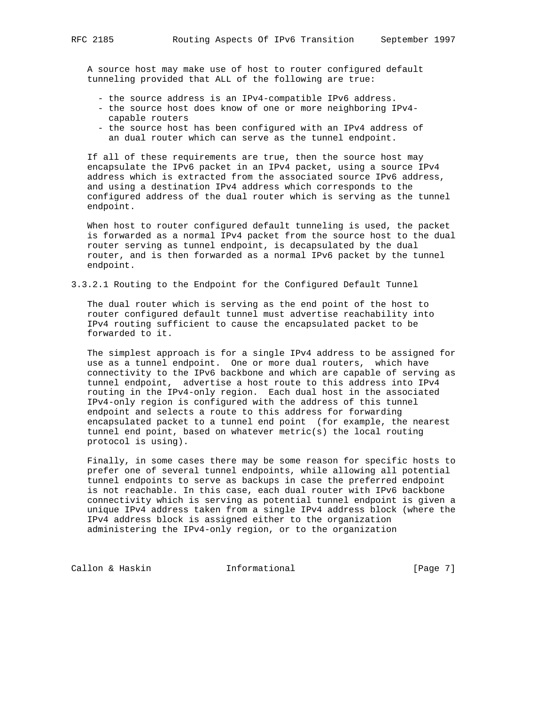A source host may make use of host to router configured default tunneling provided that ALL of the following are true:

- the source address is an IPv4-compatible IPv6 address.
- the source host does know of one or more neighboring IPv4 capable routers
- the source host has been configured with an IPv4 address of an dual router which can serve as the tunnel endpoint.

 If all of these requirements are true, then the source host may encapsulate the IPv6 packet in an IPv4 packet, using a source IPv4 address which is extracted from the associated source IPv6 address, and using a destination IPv4 address which corresponds to the configured address of the dual router which is serving as the tunnel endpoint.

 When host to router configured default tunneling is used, the packet is forwarded as a normal IPv4 packet from the source host to the dual router serving as tunnel endpoint, is decapsulated by the dual router, and is then forwarded as a normal IPv6 packet by the tunnel endpoint.

3.3.2.1 Routing to the Endpoint for the Configured Default Tunnel

 The dual router which is serving as the end point of the host to router configured default tunnel must advertise reachability into IPv4 routing sufficient to cause the encapsulated packet to be forwarded to it.

 The simplest approach is for a single IPv4 address to be assigned for use as a tunnel endpoint. One or more dual routers, which have connectivity to the IPv6 backbone and which are capable of serving as tunnel endpoint, advertise a host route to this address into IPv4 routing in the IPv4-only region. Each dual host in the associated IPv4-only region is configured with the address of this tunnel endpoint and selects a route to this address for forwarding encapsulated packet to a tunnel end point (for example, the nearest tunnel end point, based on whatever metric(s) the local routing protocol is using).

 Finally, in some cases there may be some reason for specific hosts to prefer one of several tunnel endpoints, while allowing all potential tunnel endpoints to serve as backups in case the preferred endpoint is not reachable. In this case, each dual router with IPv6 backbone connectivity which is serving as potential tunnel endpoint is given a unique IPv4 address taken from a single IPv4 address block (where the IPv4 address block is assigned either to the organization administering the IPv4-only region, or to the organization

Callon & Haskin **Informational** [Page 7]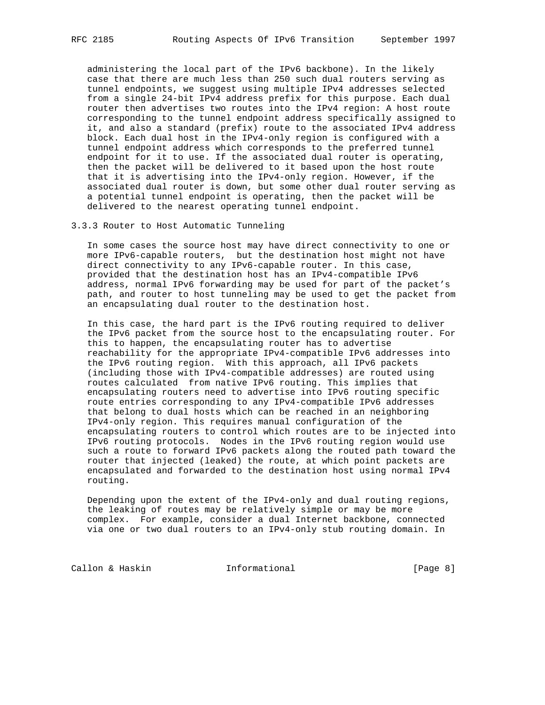administering the local part of the IPv6 backbone). In the likely case that there are much less than 250 such dual routers serving as tunnel endpoints, we suggest using multiple IPv4 addresses selected from a single 24-bit IPv4 address prefix for this purpose. Each dual router then advertises two routes into the IPv4 region: A host route corresponding to the tunnel endpoint address specifically assigned to it, and also a standard (prefix) route to the associated IPv4 address block. Each dual host in the IPv4-only region is configured with a tunnel endpoint address which corresponds to the preferred tunnel endpoint for it to use. If the associated dual router is operating, then the packet will be delivered to it based upon the host route that it is advertising into the IPv4-only region. However, if the associated dual router is down, but some other dual router serving as a potential tunnel endpoint is operating, then the packet will be delivered to the nearest operating tunnel endpoint.

3.3.3 Router to Host Automatic Tunneling

 In some cases the source host may have direct connectivity to one or more IPv6-capable routers, but the destination host might not have direct connectivity to any IPv6-capable router. In this case, provided that the destination host has an IPv4-compatible IPv6 address, normal IPv6 forwarding may be used for part of the packet's path, and router to host tunneling may be used to get the packet from an encapsulating dual router to the destination host.

 In this case, the hard part is the IPv6 routing required to deliver the IPv6 packet from the source host to the encapsulating router. For this to happen, the encapsulating router has to advertise reachability for the appropriate IPv4-compatible IPv6 addresses into the IPv6 routing region. With this approach, all IPv6 packets (including those with IPv4-compatible addresses) are routed using routes calculated from native IPv6 routing. This implies that encapsulating routers need to advertise into IPv6 routing specific route entries corresponding to any IPv4-compatible IPv6 addresses that belong to dual hosts which can be reached in an neighboring IPv4-only region. This requires manual configuration of the encapsulating routers to control which routes are to be injected into IPv6 routing protocols. Nodes in the IPv6 routing region would use such a route to forward IPv6 packets along the routed path toward the router that injected (leaked) the route, at which point packets are encapsulated and forwarded to the destination host using normal IPv4 routing.

 Depending upon the extent of the IPv4-only and dual routing regions, the leaking of routes may be relatively simple or may be more complex. For example, consider a dual Internet backbone, connected via one or two dual routers to an IPv4-only stub routing domain. In

Callon & Haskin **Informational** [Page 8]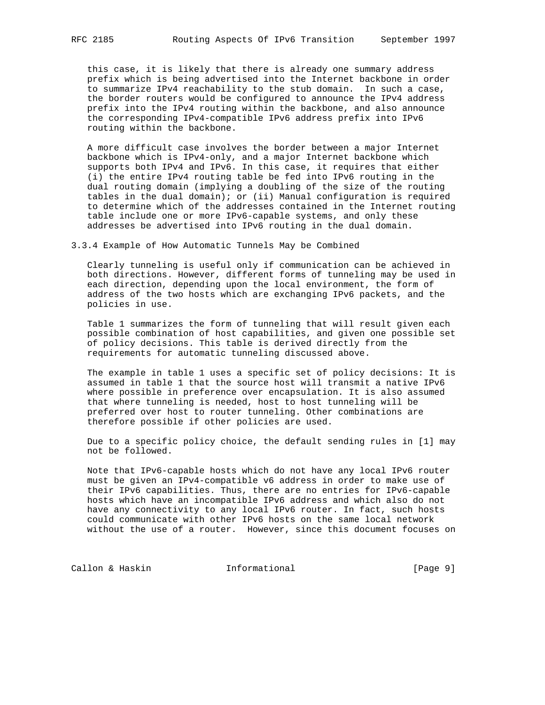this case, it is likely that there is already one summary address prefix which is being advertised into the Internet backbone in order to summarize IPv4 reachability to the stub domain. In such a case, the border routers would be configured to announce the IPv4 address prefix into the IPv4 routing within the backbone, and also announce the corresponding IPv4-compatible IPv6 address prefix into IPv6 routing within the backbone.

 A more difficult case involves the border between a major Internet backbone which is IPv4-only, and a major Internet backbone which supports both IPv4 and IPv6. In this case, it requires that either (i) the entire IPv4 routing table be fed into IPv6 routing in the dual routing domain (implying a doubling of the size of the routing tables in the dual domain); or (ii) Manual configuration is required to determine which of the addresses contained in the Internet routing table include one or more IPv6-capable systems, and only these addresses be advertised into IPv6 routing in the dual domain.

3.3.4 Example of How Automatic Tunnels May be Combined

 Clearly tunneling is useful only if communication can be achieved in both directions. However, different forms of tunneling may be used in each direction, depending upon the local environment, the form of address of the two hosts which are exchanging IPv6 packets, and the policies in use.

 Table 1 summarizes the form of tunneling that will result given each possible combination of host capabilities, and given one possible set of policy decisions. This table is derived directly from the requirements for automatic tunneling discussed above.

 The example in table 1 uses a specific set of policy decisions: It is assumed in table 1 that the source host will transmit a native IPv6 where possible in preference over encapsulation. It is also assumed that where tunneling is needed, host to host tunneling will be preferred over host to router tunneling. Other combinations are therefore possible if other policies are used.

 Due to a specific policy choice, the default sending rules in [1] may not be followed.

 Note that IPv6-capable hosts which do not have any local IPv6 router must be given an IPv4-compatible v6 address in order to make use of their IPv6 capabilities. Thus, there are no entries for IPv6-capable hosts which have an incompatible IPv6 address and which also do not have any connectivity to any local IPv6 router. In fact, such hosts could communicate with other IPv6 hosts on the same local network without the use of a router. However, since this document focuses on

Callon & Haskin **Informational** [Page 9]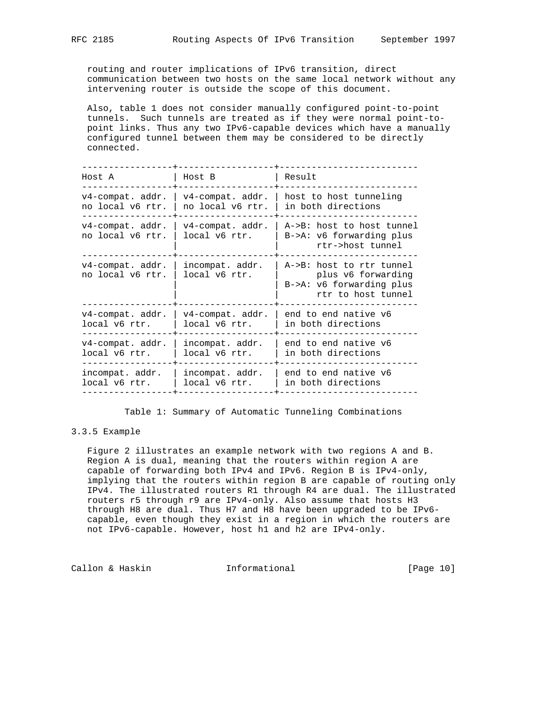routing and router implications of IPv6 transition, direct communication between two hosts on the same local network without any intervening router is outside the scope of this document.

 Also, table 1 does not consider manually configured point-to-point tunnels. Such tunnels are treated as if they were normal point-to point links. Thus any two IPv6-capable devices which have a manually configured tunnel between them may be considered to be directly connected.

| Host A                                  | Host B                                  | Result                                                                                             |
|-----------------------------------------|-----------------------------------------|----------------------------------------------------------------------------------------------------|
| $v4$ -compat. addr.<br>no local v6 rtr. | $v4$ -compat. addr.<br>no local v6 rtr. | host to host tunneling<br>in both directions                                                       |
| $v4$ -compat. addr.<br>no local v6 rtr. | $v4$ -compat. addr.<br>local v6 rtr.    | A->B: host to host tunnel<br>$B->A: v6$ forwarding plus<br>rtr->host tunnel                        |
| $v4$ -compat. addr.<br>no local v6 rtr. | incompat. addr.<br>local v6 rtr.        | A->B: host to rtr tunnel<br>plus v6 forwarding<br>$B->A: v6$ forwarding plus<br>rtr to host tunnel |
| $v4$ -compat. addr.<br>local v6 rtr.    | $v4$ -compat. addr.<br>local v6 rtr.    | end to end native v6<br>in both directions                                                         |
| $v4$ -compat. addr.<br>local v6 rtr.    | incompat. addr.<br>local v6 rtr.        | end to end native v6<br>in both directions                                                         |
| incompat. addr.<br>local v6 rtr.        | incompat. addr.<br>local v6 rtr.        | end to end native v6<br>in both directions                                                         |
|                                         |                                         |                                                                                                    |

Table 1: Summary of Automatic Tunneling Combinations

## 3.3.5 Example

 Figure 2 illustrates an example network with two regions A and B. Region A is dual, meaning that the routers within region A are capable of forwarding both IPv4 and IPv6. Region B is IPv4-only, implying that the routers within region B are capable of routing only IPv4. The illustrated routers R1 through R4 are dual. The illustrated routers r5 through r9 are IPv4-only. Also assume that hosts H3 through H8 are dual. Thus H7 and H8 have been upgraded to be IPv6 capable, even though they exist in a region in which the routers are not IPv6-capable. However, host h1 and h2 are IPv4-only.

Callon & Haskin **Informational** [Page 10]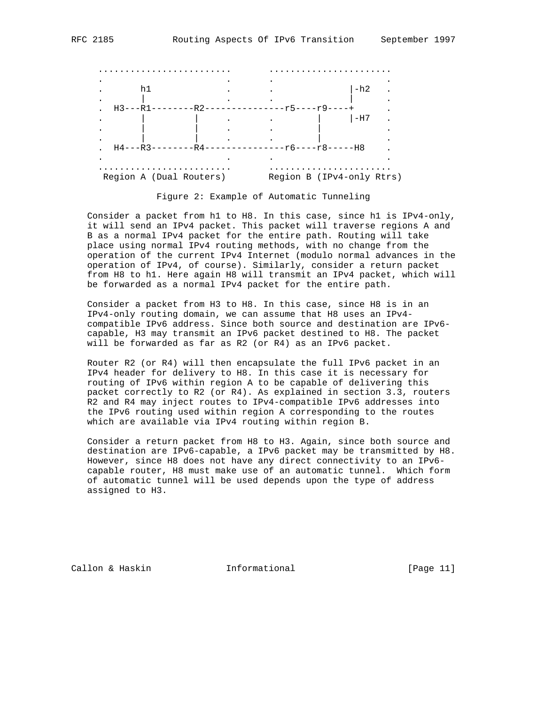

Region A (Dual Routers) Region B (IPv4-only Rtrs)

Figure 2: Example of Automatic Tunneling

 Consider a packet from h1 to H8. In this case, since h1 is IPv4-only, it will send an IPv4 packet. This packet will traverse regions A and B as a normal IPv4 packet for the entire path. Routing will take place using normal IPv4 routing methods, with no change from the operation of the current IPv4 Internet (modulo normal advances in the operation of IPv4, of course). Similarly, consider a return packet from H8 to h1. Here again H8 will transmit an IPv4 packet, which will be forwarded as a normal IPv4 packet for the entire path.

 Consider a packet from H3 to H8. In this case, since H8 is in an IPv4-only routing domain, we can assume that H8 uses an IPv4 compatible IPv6 address. Since both source and destination are IPv6 capable, H3 may transmit an IPv6 packet destined to H8. The packet will be forwarded as far as R2 (or R4) as an IPv6 packet.

 Router R2 (or R4) will then encapsulate the full IPv6 packet in an IPv4 header for delivery to H8. In this case it is necessary for routing of IPv6 within region A to be capable of delivering this packet correctly to R2 (or R4). As explained in section 3.3, routers R2 and R4 may inject routes to IPv4-compatible IPv6 addresses into the IPv6 routing used within region A corresponding to the routes which are available via IPv4 routing within region B.

 Consider a return packet from H8 to H3. Again, since both source and destination are IPv6-capable, a IPv6 packet may be transmitted by H8. However, since H8 does not have any direct connectivity to an IPv6 capable router, H8 must make use of an automatic tunnel. Which form of automatic tunnel will be used depends upon the type of address assigned to H3.

Callon & Haskin **Informational** [Page 11]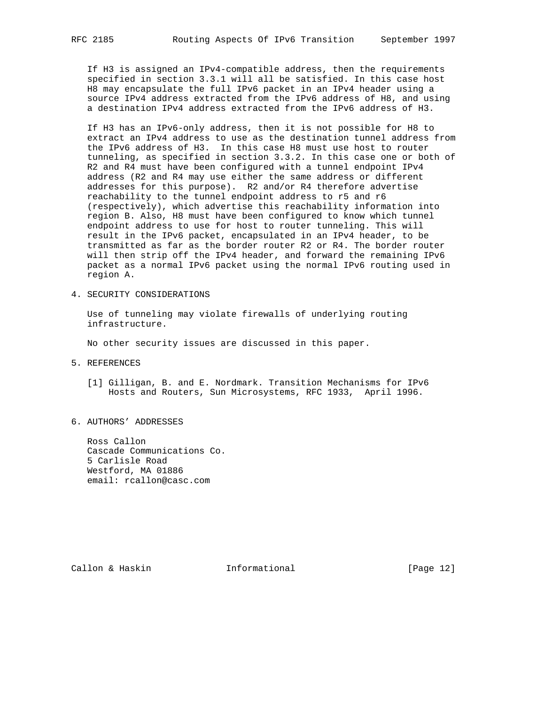If H3 is assigned an IPv4-compatible address, then the requirements specified in section 3.3.1 will all be satisfied. In this case host H8 may encapsulate the full IPv6 packet in an IPv4 header using a source IPv4 address extracted from the IPv6 address of H8, and using a destination IPv4 address extracted from the IPv6 address of H3.

 If H3 has an IPv6-only address, then it is not possible for H8 to extract an IPv4 address to use as the destination tunnel address from the IPv6 address of H3. In this case H8 must use host to router tunneling, as specified in section 3.3.2. In this case one or both of R2 and R4 must have been configured with a tunnel endpoint IPv4 address (R2 and R4 may use either the same address or different addresses for this purpose). R2 and/or R4 therefore advertise reachability to the tunnel endpoint address to r5 and r6 (respectively), which advertise this reachability information into region B. Also, H8 must have been configured to know which tunnel endpoint address to use for host to router tunneling. This will result in the IPv6 packet, encapsulated in an IPv4 header, to be transmitted as far as the border router R2 or R4. The border router will then strip off the IPv4 header, and forward the remaining IPv6 packet as a normal IPv6 packet using the normal IPv6 routing used in region A.

4. SECURITY CONSIDERATIONS

 Use of tunneling may violate firewalls of underlying routing infrastructure.

No other security issues are discussed in this paper.

- 5. REFERENCES
	- [1] Gilligan, B. and E. Nordmark. Transition Mechanisms for IPv6 Hosts and Routers, Sun Microsystems, RFC 1933, April 1996.
- 6. AUTHORS' ADDRESSES

 Ross Callon Cascade Communications Co. 5 Carlisle Road Westford, MA 01886 email: rcallon@casc.com

Callon & Haskin Informational [Page 12]